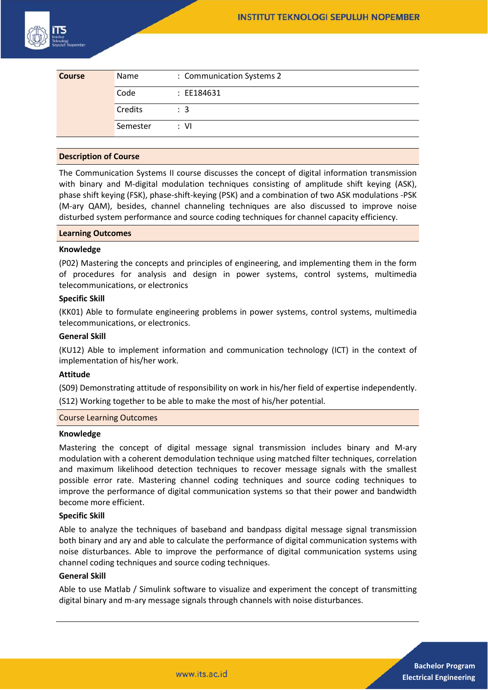

| <b>Course</b> | Name     | : Communication Systems 2 |
|---------------|----------|---------------------------|
|               | Code     | : EE184631                |
|               | Credits  | $\therefore$ 3            |
|               | Semester | ∴ VI                      |

## **Description of Course**

The Communication Systems II course discusses the concept of digital information transmission with binary and M-digital modulation techniques consisting of amplitude shift keying (ASK), phase shift keying (FSK), phase-shift-keying (PSK) and a combination of two ASK modulations -PSK (M-ary QAM), besides, channel channeling techniques are also discussed to improve noise disturbed system performance and source coding techniques for channel capacity efficiency.

#### **Learning Outcomes**

### **Knowledge**

(P02) Mastering the concepts and principles of engineering, and implementing them in the form of procedures for analysis and design in power systems, control systems, multimedia telecommunications, or electronics

### **Specific Skill**

(KK01) Able to formulate engineering problems in power systems, control systems, multimedia telecommunications, or electronics.

# **General Skill**

(KU12) Able to implement information and communication technology (ICT) in the context of implementation of his/her work.

## **Attitude**

(S09) Demonstrating attitude of responsibility on work in his/her field of expertise independently. (S12) Working together to be able to make the most of his/her potential.

## Course Learning Outcomes

#### **Knowledge**

Mastering the concept of digital message signal transmission includes binary and M-ary modulation with a coherent demodulation technique using matched filter techniques, correlation and maximum likelihood detection techniques to recover message signals with the smallest possible error rate. Mastering channel coding techniques and source coding techniques to improve the performance of digital communication systems so that their power and bandwidth become more efficient.

## **Specific Skill**

Able to analyze the techniques of baseband and bandpass digital message signal transmission both binary and ary and able to calculate the performance of digital communication systems with noise disturbances. Able to improve the performance of digital communication systems using channel coding techniques and source coding techniques.

## **General Skill**

Able to use Matlab / Simulink software to visualize and experiment the concept of transmitting digital binary and m-ary message signals through channels with noise disturbances.